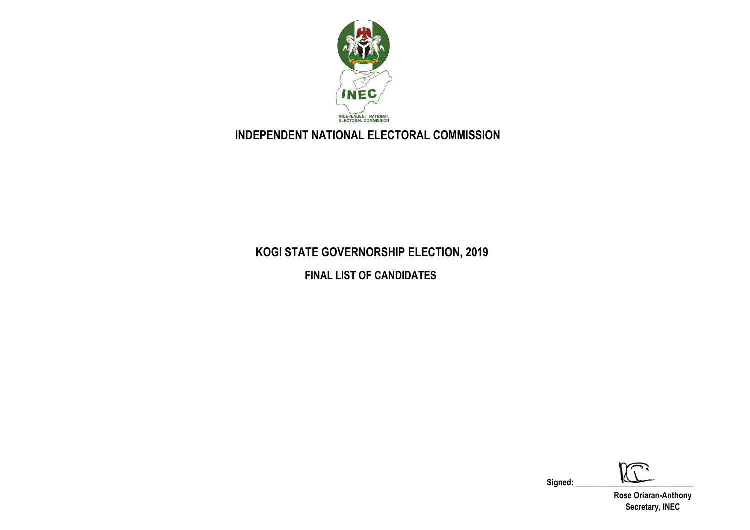

## **INDEPENDENT NATIONAL ELECTORAL COMMISSION**

## **KOGI STATE GOVERNORSHIP ELECTION, 2019**

**FINAL LIST OF CANDIDATES**

نثلا

Signed:

**Rose Oriaran-Anthony Secretary, INEC**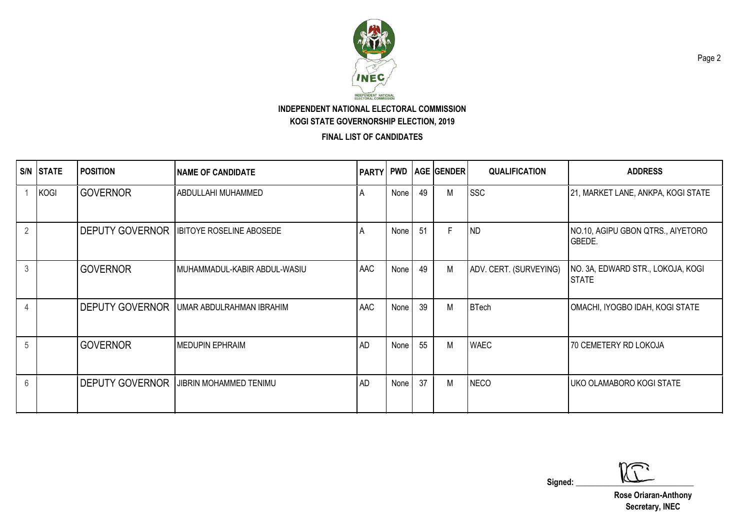

**FINAL LIST OF CANDIDATES**

|                | S/N STATE   | <b>POSITION</b>        | <b>NAME OF CANDIDATE</b>               |           |      |     | PARTY  PWD  AGE  GENDER | <b>QUALIFICATION</b>   | <b>ADDRESS</b>                                    |
|----------------|-------------|------------------------|----------------------------------------|-----------|------|-----|-------------------------|------------------------|---------------------------------------------------|
|                | <b>KOGI</b> | <b>GOVERNOR</b>        | ABDULLAHI MUHAMMED                     | A         | None | 49  | M                       | <b>SSC</b>             | 21, MARKET LANE, ANKPA, KOGI STATE                |
| 2              |             | <b>DEPUTY GOVERNOR</b> | <b>IBITOYE ROSELINE ABOSEDE</b>        | A         | None | -51 | F                       | <b>ND</b>              | NO.10, AGIPU GBON QTRS., AIYETORO<br>GBEDE.       |
| $\mathfrak{Z}$ |             | <b>GOVERNOR</b>        | MUHAMMADUL-KABIR ABDUL-WASIU           | AAC       | None | 49  | М                       | ADV. CERT. (SURVEYING) | NO. 3A, EDWARD STR., LOKOJA, KOGI<br><b>STATE</b> |
| $\overline{4}$ |             | <b>DEPUTY GOVERNOR</b> | UMAR ABDULRAHMAN IBRAHIM               | AAC       | None | 39  | М                       | <b>BTech</b>           | OMACHI, IYOGBO IDAH, KOGI STATE                   |
| 5              |             | <b>GOVERNOR</b>        | <b>MEDUPIN EPHRAIM</b>                 | <b>AD</b> | None | 55  | М                       | <b>WAEC</b>            | 70 CEMETERY RD LOKOJA                             |
| 6              |             |                        | DEPUTY GOVERNOR JUBRIN MOHAMMED TENIMU | <b>AD</b> | None | 37  | Μ                       | <b>NECO</b>            | I UKO OLAMABORO KOGI STATE                        |

 $Signed:$   $\sqrt{2}$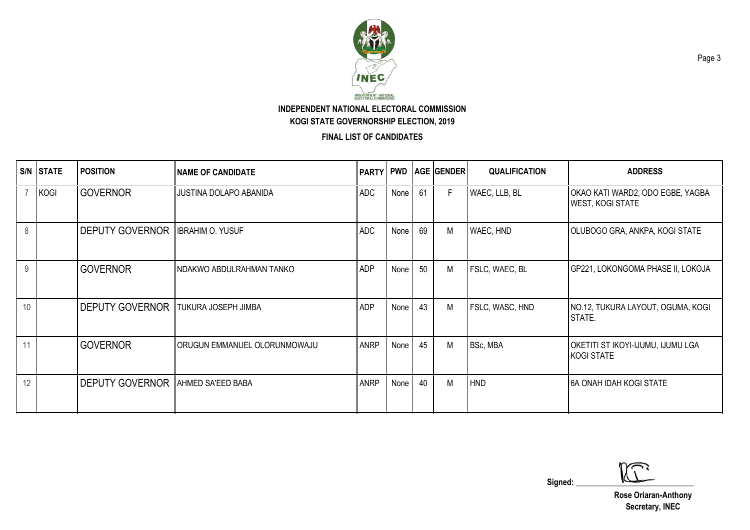

**FINAL LIST OF CANDIDATES**

| S/N | <b>STATE</b> | <b>POSITION</b>                          | <b>NAME OF CANDIDATE</b>     | <b>PARTY</b> |        |    | <b>PWD   AGE   GENDER  </b> | <b>QUALIFICATION</b> | <b>ADDRESS</b>                                              |
|-----|--------------|------------------------------------------|------------------------------|--------------|--------|----|-----------------------------|----------------------|-------------------------------------------------------------|
|     | <b>KOGI</b>  | <b>GOVERNOR</b>                          | JUSTINA DOLAPO ABANIDA       | <b>ADC</b>   | None   | 61 | F                           | WAEC, LLB, BL        | OKAO KATI WARD2, ODO EGBE, YAGBA<br><b>WEST, KOGI STATE</b> |
| 8   |              | <b>DEPUTY GOVERNOR</b>                   | <b>IBRAHIM O. YUSUF</b>      | <b>ADC</b>   | None   | 69 | Μ                           | WAEC, HND            | OLUBOGO GRA, ANKPA, KOGI STATE                              |
| 9   |              | <b>GOVERNOR</b>                          | NDAKWO ABDULRAHMAN TANKO     | <b>ADP</b>   | None I | 50 | М                           | FSLC, WAEC, BL       | GP221, LOKONGOMA PHASE II, LOKOJA                           |
| 10  |              | <b>DEPUTY GOVERNOR</b>                   | <b>TUKURA JOSEPH JIMBA</b>   | <b>ADP</b>   | None   | 43 | M                           | FSLC, WASC, HND      | NO.12, TUKURA LAYOUT, OGUMA, KOGI<br>STATE.                 |
| 11  |              | <b>GOVERNOR</b>                          | ORUGUN EMMANUEL OLORUNMOWAJU | <b>ANRP</b>  | None   | 45 | M                           | BSc, MBA             | OKETITI ST IKOYI-IJUMU, IJUMU LGA<br>KOGI STATE             |
| 12  |              | <b>DEPUTY GOVERNOR AHMED SA'EED BABA</b> |                              | <b>ANRP</b>  | None   | 40 | М                           | <b>HND</b>           | <b>6A ONAH IDAH KOGI STATE</b>                              |

 $Signed:$   $\sqrt{2}$ 

**Rose Oriaran-Anthony Secretary, INEC**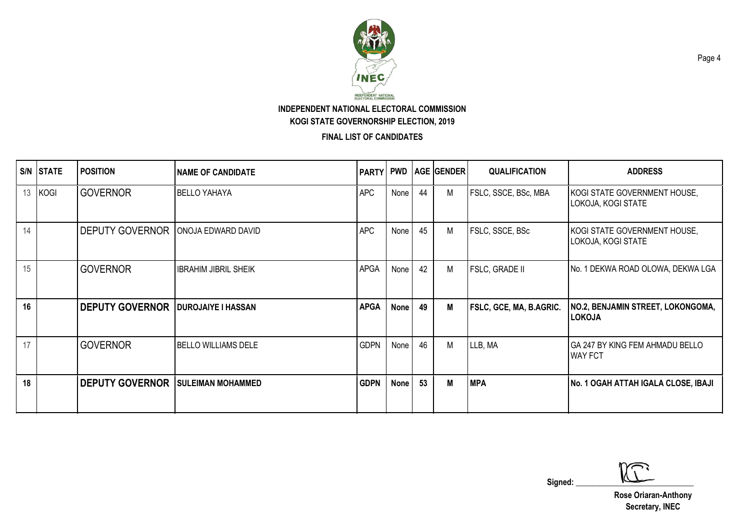

**FINAL LIST OF CANDIDATES**

|    | <b>S/N STATE</b> | <b>POSITION</b>                          | <b>NAME OF CANDIDATE</b>    | PARTY PWD   |             |    | <b>AGE GENDER</b> | <b>QUALIFICATION</b>    | <b>ADDRESS</b>                                           |
|----|------------------|------------------------------------------|-----------------------------|-------------|-------------|----|-------------------|-------------------------|----------------------------------------------------------|
| 13 | KOGI             | <b>GOVERNOR</b>                          | <b>BELLO YAHAYA</b>         | <b>APC</b>  | None        | 44 | M                 | FSLC, SSCE, BSc, MBA    | KOGI STATE GOVERNMENT HOUSE,<br>LOKOJA, KOGI STATE       |
| 14 |                  | <b>DEPUTY GOVERNOR</b>                   | ONOJA EDWARD DAVID          | <b>APC</b>  | None        | 45 | M                 | FSLC, SSCE, BSc         | KOGI STATE GOVERNMENT HOUSE,<br>LOKOJA, KOGI STATE       |
| 15 |                  | <b>GOVERNOR</b>                          | <b>IBRAHIM JIBRIL SHEIK</b> | <b>APGA</b> | None        | 42 | M                 | <b>FSLC, GRADE II</b>   | No. 1 DEKWA ROAD OLOWA, DEKWA LGA                        |
| 16 |                  | <b>DEPUTY GOVERNOR</b>                   | <b>DUROJAIYE I HASSAN</b>   | <b>APGA</b> | <b>None</b> | 49 | M                 | FSLC, GCE, MA, B.AGRIC. | NO.2, BENJAMIN STREET, LOKONGOMA,<br><b>LOKOJA</b>       |
| 17 |                  | <b>GOVERNOR</b>                          | <b>BELLO WILLIAMS DELE</b>  | <b>GDPN</b> | None        | 46 | М                 | LLB, MA                 | <b>GA 247 BY KING FEM AHMADU BELLO</b><br><b>WAY FCT</b> |
| 18 |                  | <b>DEPUTY GOVERNOR SULEIMAN MOHAMMED</b> |                             | <b>GDPN</b> | None        | 53 | М                 | <b>MPA</b>              | No. 1 OGAH ATTAH IGALA CLOSE, IBAJI                      |

 $Signed:$   $\sqrt{2}$ 

**Rose Oriaran-Anthony Secretary, INEC**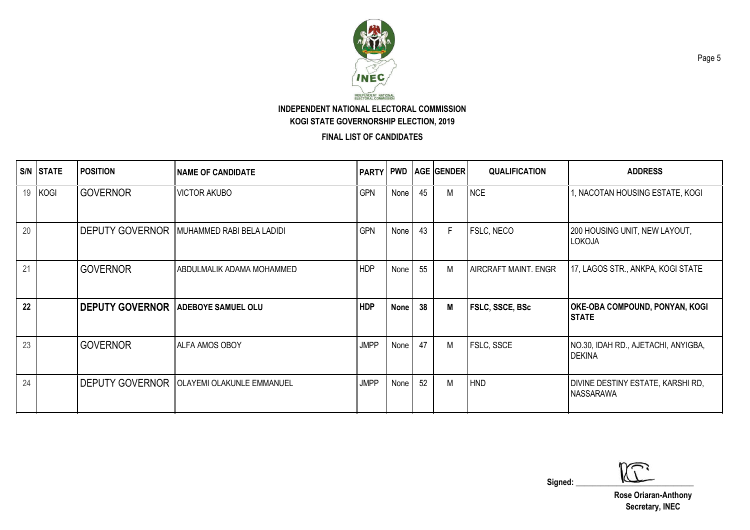

**FINAL LIST OF CANDIDATES**

|    | S/N STATE | <b>POSITION</b>        | <b>NAME OF CANDIDATE</b>         | <b>PARTY PWD</b> |             |    | <b>AGE GENDER</b> | <b>QUALIFICATION</b>        | <b>ADDRESS</b>                                        |
|----|-----------|------------------------|----------------------------------|------------------|-------------|----|-------------------|-----------------------------|-------------------------------------------------------|
| 19 | KOGI      | <b>GOVERNOR</b>        | <b>VICTOR AKUBO</b>              | <b>GPN</b>       | None        | 45 | M                 | <b>NCE</b>                  | 1, NACOTAN HOUSING ESTATE, KOGI                       |
| 20 |           | <b>DEPUTY GOVERNOR</b> | MUHAMMED RABI BELA LADIDI        | <b>GPN</b>       | None        | 43 | F                 | FSLC, NECO                  | 200 HOUSING UNIT, NEW LAYOUT,<br>LOKOJA               |
| 21 |           | <b>GOVERNOR</b>        | ABDULMALIK ADAMA MOHAMMED        | <b>HDP</b>       | None        | 55 | M                 | <b>AIRCRAFT MAINT. ENGR</b> | 17, LAGOS STR., ANKPA, KOGI STATE                     |
| 22 |           | <b>DEPUTY GOVERNOR</b> | <b>ADEBOYE SAMUEL OLU</b>        | <b>HDP</b>       | <b>None</b> | 38 | M                 | FSLC, SSCE, BSc             | <b>OKE-OBA COMPOUND, PONYAN, KOGI</b><br><b>STATE</b> |
| 23 |           | <b>GOVERNOR</b>        | <b>ALFA AMOS OBOY</b>            | <b>JMPP</b>      | None        | 47 | М                 | FSLC, SSCE                  | NO.30, IDAH RD., AJETACHI, ANYIGBA,<br><b>DEKINA</b>  |
| 24 |           | <b>DEPUTY GOVERNOR</b> | <b>OLAYEMI OLAKUNLE EMMANUEL</b> | <b>JMPP</b>      | None        | 52 | М                 | <b>HND</b>                  | DIVINE DESTINY ESTATE, KARSHI RD,<br><b>NASSARAWA</b> |

 $Signed:$   $\sqrt{2}$ 

**Rose Oriaran-Anthony Secretary, INEC**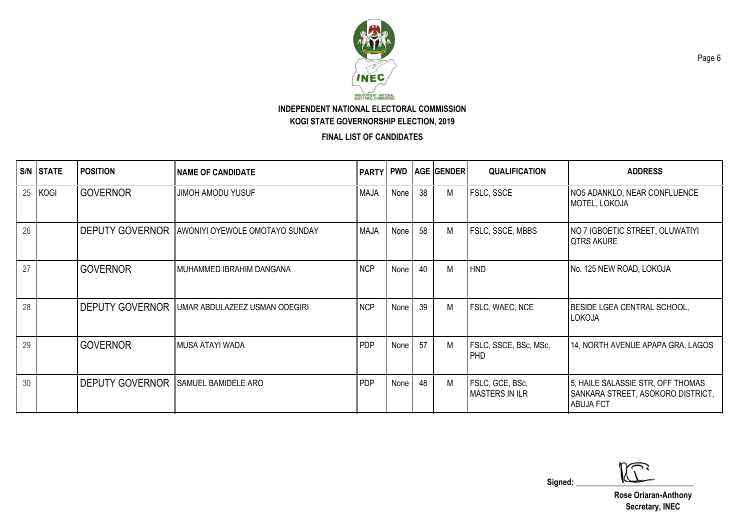

**FINAL LIST OF CANDIDATES**

|    | S/N STATE   | <b>POSITION</b>                            | <b>INAME OF CANDIDATE</b>                             |             |      |    | <b>PARTY PWD AGE GENDER</b> | <b>QUALIFICATION</b>                     | <b>ADDRESS</b>                                                                             |
|----|-------------|--------------------------------------------|-------------------------------------------------------|-------------|------|----|-----------------------------|------------------------------------------|--------------------------------------------------------------------------------------------|
| 25 | <b>KOGI</b> | <b>GOVERNOR</b>                            | <b>JIMOH AMODU YUSUF</b>                              | <b>MAJA</b> | None | 38 | M                           | FSLC, SSCE                               | NO5 ADANKLO, NEAR CONFLUENCE<br>MOTEL, LOKOJA                                              |
| 26 |             |                                            | <b>DEPUTY GOVERNOR AWONIYI OYEWOLE OMOTAYO SUNDAY</b> | <b>MAJA</b> | None | 58 | M                           | <b>FSLC, SSCE, MBBS</b>                  | NO 7 IGBOETIC STREET, OLUWATIYI<br><b>QTRS AKURE</b>                                       |
| 27 |             | <b>GOVERNOR</b>                            | MUHAMMED IBRAHIM DANGANA                              | <b>NCP</b>  | None | 40 | М                           | <b>HND</b>                               | No. 125 NEW ROAD, LOKOJA                                                                   |
| 28 |             | <b>DEPUTY GOVERNOR</b>                     | UMAR ABDULAZEEZ USMAN ODEGIRI                         | <b>NCP</b>  | None | 39 | M                           | FSLC, WAEC, NCE                          | BESIDE LGEA CENTRAL SCHOOL,<br>LOKOJA                                                      |
| 29 |             | <b>GOVERNOR</b>                            | MUSA ATAYI WADA                                       | <b>PDP</b>  | None | 57 | M                           | FSLC, SSCE, BSc, MSc,<br><b>PHD</b>      | 14, NORTH AVENUE APAPA GRA, LAGOS                                                          |
| 30 |             | <b>DEPUTY GOVERNOR SAMUEL BAMIDELE ARO</b> |                                                       | <b>PDP</b>  | None | 48 | М                           | FSLC, GCE, BSc,<br><b>MASTERS IN ILR</b> | 5, HAILE SALASSIE STR, OFF THOMAS<br>SANKARA STREET, ASOKORO DISTRICT,<br><b>ABUJA FCT</b> |

 $Signed:$   $\sqrt{2}$ 

**Rose Oriaran-Anthony Secretary, INEC**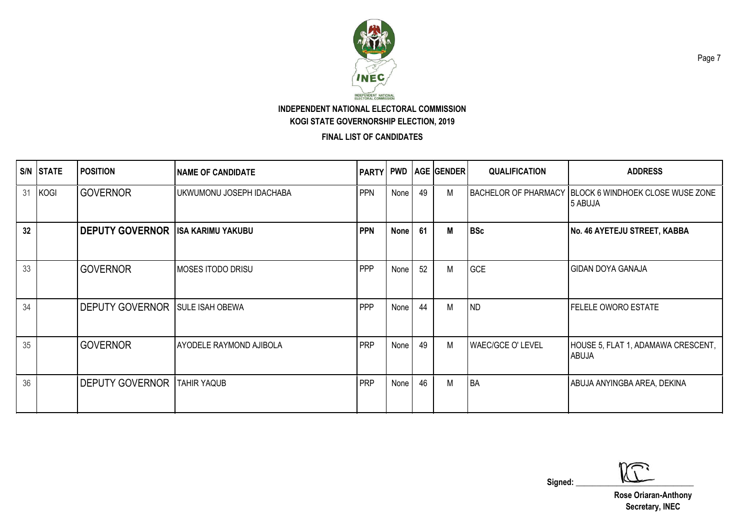

**FINAL LIST OF CANDIDATES**

|    | S/N STATE   | <b>POSITION</b>                          | <b>NAME OF CANDIDATE</b>       | PARTY PWD  |             |    | <b>AGE GENDER</b> | <b>QUALIFICATION</b>     | <b>ADDRESS</b>                                                     |
|----|-------------|------------------------------------------|--------------------------------|------------|-------------|----|-------------------|--------------------------|--------------------------------------------------------------------|
| 31 | <b>KOGI</b> | <b>GOVERNOR</b>                          | UKWUMONU JOSEPH IDACHABA       | <b>PPN</b> | None        | 49 | M                 |                          | BACHELOR OF PHARMACY   BLOCK 6 WINDHOEK CLOSE WUSE ZONE<br>5 ABUJA |
| 32 |             | <b>DEPUTY GOVERNOR ISA KARIMU YAKUBU</b> |                                | <b>PPN</b> | <b>None</b> | 61 | M                 | <b>BSc</b>               | No. 46 AYETEJU STREET, KABBA                                       |
| 33 |             | <b>GOVERNOR</b>                          | <b>MOSES ITODO DRISU</b>       | <b>PPP</b> | None        | 52 | M                 | GCE                      | <b>GIDAN DOYA GANAJA</b>                                           |
| 34 |             | <b>DEPUTY GOVERNOR</b>                   | <b>SULE ISAH OBEWA</b>         | <b>PPP</b> | None        | 44 | M                 | <b>ND</b>                | <b>FELELE OWORO ESTATE</b>                                         |
| 35 |             | <b>GOVERNOR</b>                          | <b>AYODELE RAYMOND AJIBOLA</b> | <b>PRP</b> | None        | 49 | M                 | <b>WAEC/GCE O' LEVEL</b> | HOUSE 5, FLAT 1, ADAMAWA CRESCENT,<br>ABUJA                        |
| 36 |             | <b>DEPUTY GOVERNOR</b>                   | <b>TAHIR YAQUB</b>             | <b>PRP</b> | None        | 46 | M                 | <b>BA</b>                | ABUJA ANYINGBA AREA, DEKINA                                        |

 $Signed:$   $\sqrt{2}$ 

**Rose Oriaran-Anthony Secretary, INEC**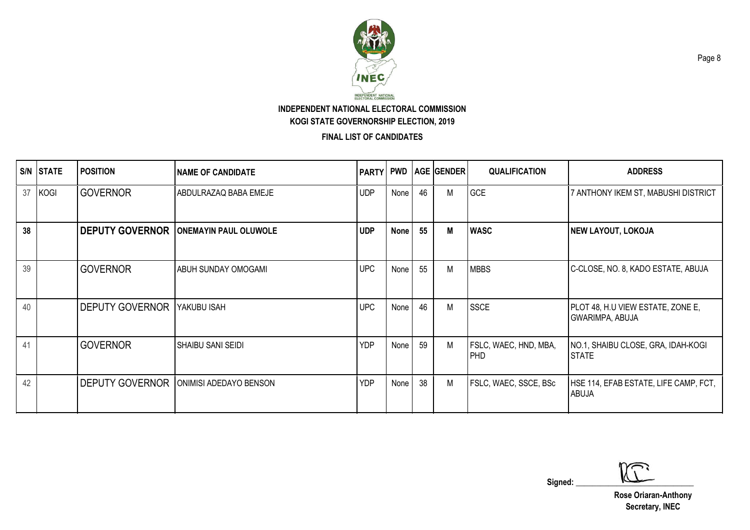

**FINAL LIST OF CANDIDATES**

|    | S/N STATE | <b>POSITION</b>        | <b>NAME OF CANDIDATE</b>     | PARTY PWD  |             |    | <b>AGE GENDER</b> | <b>QUALIFICATION</b>         | <b>ADDRESS</b>                                              |
|----|-----------|------------------------|------------------------------|------------|-------------|----|-------------------|------------------------------|-------------------------------------------------------------|
| 37 | KOGI      | <b>GOVERNOR</b>        | ABDULRAZAQ BABA EMEJE        | <b>UDP</b> | None        | 46 | M                 | GCE                          | 7 ANTHONY IKEM ST, MABUSHI DISTRICT                         |
| 38 |           | <b>DEPUTY GOVERNOR</b> | <b>ONEMAYIN PAUL OLUWOLE</b> | <b>UDP</b> | <b>None</b> | 55 | М                 | <b>WASC</b>                  | <b>NEW LAYOUT, LOKOJA</b>                                   |
| 39 |           | <b>GOVERNOR</b>        | <b>ABUH SUNDAY OMOGAMI</b>   | <b>UPC</b> | None        | 55 | M                 | <b>MBBS</b>                  | C-CLOSE, NO. 8, KADO ESTATE, ABUJA                          |
| 40 |           | <b>DEPUTY GOVERNOR</b> | YAKUBU ISAH                  | <b>UPC</b> | None        | 46 | M                 | <b>SSCE</b>                  | PLOT 48, H.U VIEW ESTATE, ZONE E,<br><b>GWARIMPA, ABUJA</b> |
| 41 |           | <b>GOVERNOR</b>        | ISHAIBU SANI SEIDI           | <b>YDP</b> | None        | 59 | M                 | FSLC, WAEC, HND, MBA,<br>PHD | NO.1, SHAIBU CLOSE, GRA, IDAH-KOGI<br><b>STATE</b>          |
| 42 |           | <b>DEPUTY GOVERNOR</b> | ONIMISI ADEDAYO BENSON       | <b>YDP</b> | None        | 38 | M                 | FSLC, WAEC, SSCE, BSc        | HSE 114, EFAB ESTATE, LIFE CAMP, FCT,<br>ABUJA              |

 $Signed:$   $\sqrt{2}$ 

**Rose Oriaran-Anthony Secretary, INEC**